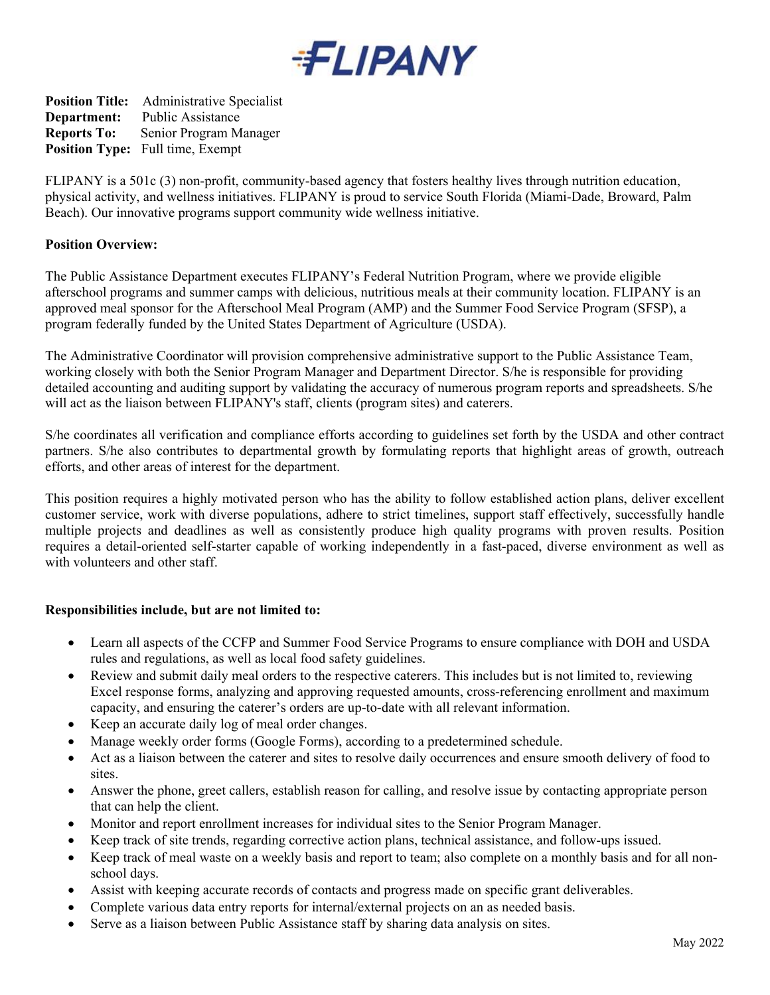

**Position Title:** Administrative Specialist **Department:** Public Assistance **Reports To:** Senior Program Manager **Position Type:** Full time, Exempt

FLIPANY is a 501c (3) non-profit, community-based agency that fosters healthy lives through nutrition education, physical activity, and wellness initiatives. FLIPANY is proud to service South Florida (Miami-Dade, Broward, Palm Beach). Our innovative programs support community wide wellness initiative.

## **Position Overview:**

The Public Assistance Department executes FLIPANY's Federal Nutrition Program, where we provide eligible afterschool programs and summer camps with delicious, nutritious meals at their community location. FLIPANY is an approved meal sponsor for the Afterschool Meal Program (AMP) and the Summer Food Service Program (SFSP), a program federally funded by the United States Department of Agriculture (USDA).

The Administrative Coordinator will provision comprehensive administrative support to the Public Assistance Team, working closely with both the Senior Program Manager and Department Director. S/he is responsible for providing detailed accounting and auditing support by validating the accuracy of numerous program reports and spreadsheets. S/he will act as the liaison between FLIPANY's staff, clients (program sites) and caterers.

S/he coordinates all verification and compliance efforts according to guidelines set forth by the USDA and other contract partners. S/he also contributes to departmental growth by formulating reports that highlight areas of growth, outreach efforts, and other areas of interest for the department.

This position requires a highly motivated person who has the ability to follow established action plans, deliver excellent customer service, work with diverse populations, adhere to strict timelines, support staff effectively, successfully handle multiple projects and deadlines as well as consistently produce high quality programs with proven results. Position requires a detail-oriented self-starter capable of working independently in a fast-paced, diverse environment as well as with volunteers and other staff.

## **Responsibilities include, but are not limited to:**

- Learn all aspects of the CCFP and Summer Food Service Programs to ensure compliance with DOH and USDA rules and regulations, as well as local food safety guidelines.
- Review and submit daily meal orders to the respective caterers. This includes but is not limited to, reviewing Excel response forms, analyzing and approving requested amounts, cross-referencing enrollment and maximum capacity, and ensuring the caterer's orders are up-to-date with all relevant information.
- Keep an accurate daily log of meal order changes.
- Manage weekly order forms (Google Forms), according to a predetermined schedule.
- Act as a liaison between the caterer and sites to resolve daily occurrences and ensure smooth delivery of food to sites.
- Answer the phone, greet callers, establish reason for calling, and resolve issue by contacting appropriate person that can help the client.
- Monitor and report enrollment increases for individual sites to the Senior Program Manager.
- Keep track of site trends, regarding corrective action plans, technical assistance, and follow-ups issued.
- Keep track of meal waste on a weekly basis and report to team; also complete on a monthly basis and for all nonschool days.
- Assist with keeping accurate records of contacts and progress made on specific grant deliverables.
- Complete various data entry reports for internal/external projects on an as needed basis.
- Serve as a liaison between Public Assistance staff by sharing data analysis on sites.